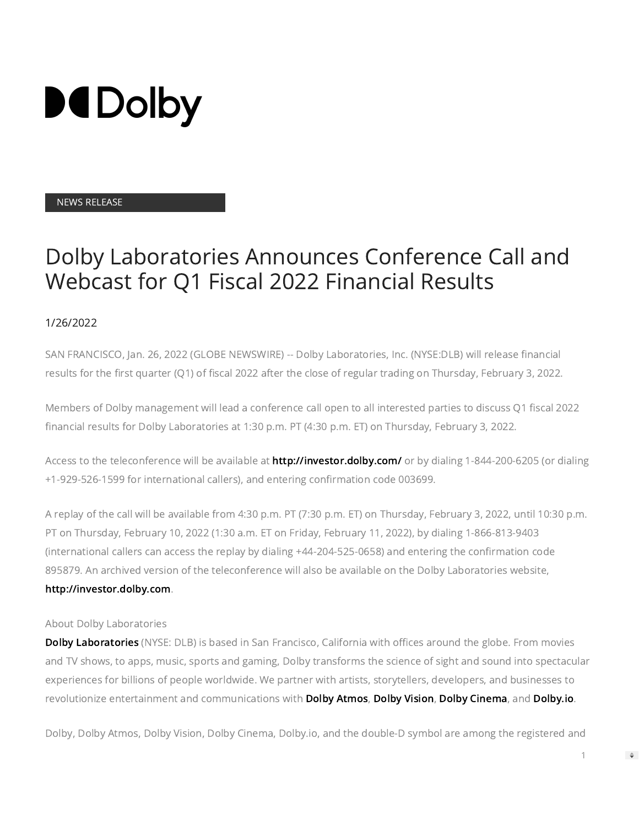

## NEWS RELEASE

## Dolby Laboratories Announces Conference Call and Webcast for Q1 Fiscal 2022 Financial Results

## 1/26/2022

SAN FRANCISCO, Jan. 26, 2022 (GLOBE NEWSWIRE) -- Dolby Laboratories, Inc. (NYSE:DLB) will release financial results for the first quarter (Q1) of fiscal 2022 after the close of regular trading on Thursday, February 3, 2022.

Members of Dolby management will lead a conference call open to all interested parties to discuss Q1 fiscal 2022 financial results for Dolby Laboratories at 1:30 p.m. PT (4:30 p.m. ET) on Thursday, February 3, 2022.

Access to the teleconference will be available at [http://investor.dolby.com/](https://www.globenewswire.com/Tracker?data=PeHHt9TM_mFU8ooYPNsmFcK4btdSfEZDuNfAfcl_6dvBLfsiOykfR4pel2kiTtueg1NOI9faonnHtmT3NHbcf8Vh8oe3_HkRpCOiu3f9uQY=) or by dialing 1-844-200-6205 (or dialing +1-929-526-1599 for international callers), and entering conrmation code 003699.

A replay of the call will be available from 4:30 p.m. PT (7:30 p.m. ET) on Thursday, February 3, 2022, until 10:30 p.m. PT on Thursday, February 10, 2022 (1:30 a.m. ET on Friday, February 11, 2022), by dialing 1-866-813-9403 (international callers can access the replay by dialing +44-204-525-0658) and entering the confirmation code 895879. An archived version of the teleconference will also be available on the Dolby Laboratories website, [http://investor.dolby.com.](https://www.globenewswire.com/Tracker?data=PeHHt9TM_mFU8ooYPNsmFcK4btdSfEZDuNfAfcl_6dubKJNRbZp_dqnkMxKd54loaZtG3Swx093jre4g96qp_tk80Z_YQWU8LjqcOPreajg=)

## About Dolby Laboratories

[Dolby Laboratories](https://www.globenewswire.com/Tracker?data=rW6YPIlJdyOmD7Fg6X1L36K2QTXE7PnNXDt_oTlDjXD9RVLUnn8x-FmEwVxnwy2QQXgDLO4SNntjbUZOdJJj4A==) (NYSE: DLB) is based in San Francisco, California with offices around the globe. From movies and TV shows, to apps, music, sports and gaming, Dolby transforms the science of sight and sound into spectacular experiences for billions of people worldwide. We partner with artists, storytellers, developers, and businesses to revolutionize entertainment and communications with [Dolby Atmos](https://www.globenewswire.com/Tracker?data=rW6YPIlJdyOmD7Fg6X1L3_JkkIp3cxYO9wbNWNAf68-VJ4OTAoIOXCM_DLCPIiXMGpnnPBi1Ryc_01d-QRqkLaJkBBvl8IRUYHp46uHyOjg=), [Dolby Vision](https://www.globenewswire.com/Tracker?data=rW6YPIlJdyOmD7Fg6X1L3-wyR7CErCOsqxANZSpXG6WjXbHsNaREqxG6Kr-1i8Jpfmid0MOpyNvDZgZfYRSXAdOi47gaQQXY62h9137QXKZXqF2j_gumwgiiWUxI7Jjr), [Dolby Cinema,](https://www.globenewswire.com/Tracker?data=rW6YPIlJdyOmD7Fg6X1L39VWiapY5Mo0uaWY5XLnsnXUiIAm0ZiaPJwc2z934JvdF02L-mrzC5zep6OJ103Wr2jndCfFypu-kTUs1D1vWgo=) and [Dolby.io.](https://www.globenewswire.com/Tracker?data=jaQ4rhVPVG0Ntdc22Onw8txfiN-FUHHy5utJjsTpIv1ZJ5etgVavwvxpObvLUwXS)

Dolby, Dolby Atmos, Dolby Vision, Dolby Cinema, Dolby.io, and the double-D symbol are among the registered and

 $\Rightarrow$ 

1